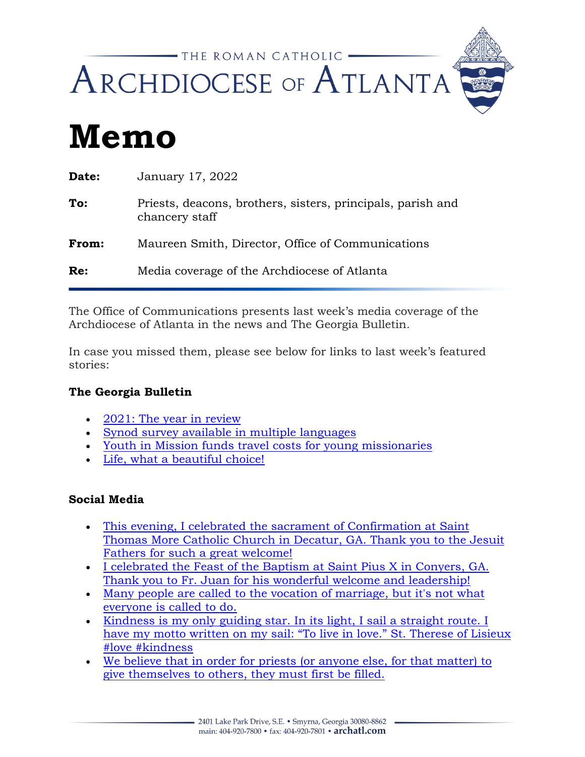

# **Memo**

| Date: | January 17, 2022                                                              |
|-------|-------------------------------------------------------------------------------|
| To:   | Priests, deacons, brothers, sisters, principals, parish and<br>chancery staff |
| From: | Maureen Smith, Director, Office of Communications                             |
| Re:   | Media coverage of the Archdiocese of Atlanta                                  |

The Office of Communications presents last week's media coverage of the Archdiocese of Atlanta in the news and The Georgia Bulletin*.*

In case you missed them, please see below for links to last week's featured stories:

# **The Georgia Bulletin**

- [2021: The year in review](https://georgiabulletin.org/news/2022/01/2021-the-year-in-review/)
- [Synod survey available in multiple languages](https://georgiabulletin.org/news/2022/01/synod-survey-available-in-multiple-languages/)
- [Youth in Mission funds travel costs for young missionaries](https://georgiabulletin.org/news/2022/01/youth-in-mission-funds-travel-costs-for-young-missionaries/)
- [Life, what a beautiful choice!](https://georgiabulletin.org/commentary/2022/01/life-what-a-beautiful-choice/)

## **Social Media**

- [This evening, I celebrated the sacrament of Confirmation at Saint](https://www.facebook.com/BishopHartmayer/posts/313094534159107)  Thomas More [Catholic Church in Decatur, GA. Thank you to the Jesuit](https://www.facebook.com/BishopHartmayer/posts/313094534159107)  [Fathers for such a great welcome!](https://www.facebook.com/BishopHartmayer/posts/313094534159107)
- [I celebrated the Feast of the Baptism at Saint Pius X in Conyers, GA.](https://www.facebook.com/BishopHartmayer/posts/312297590905468)  Thank you to Fr. [Juan for his wonderful welcome and leadership!](https://www.facebook.com/BishopHartmayer/posts/312297590905468)
- [Many people are called to the vocation of marriage, but it's not what](https://www.facebook.com/atlantavocations/posts/5287919474569128)  [everyone is called to do.](https://www.facebook.com/atlantavocations/posts/5287919474569128)
- [Kindness is my only guiding star. In its light, I sail a straight route. I](https://www.instagram.com/reel/CYrTlTwJPQ4/)  [have my motto written on my sail: "To live in love." St. Therese of Lisieux](https://www.instagram.com/reel/CYrTlTwJPQ4/)  [#love #kindness](https://www.instagram.com/reel/CYrTlTwJPQ4/)
- [We believe that in order for priests \(or anyone else, for that matter\) to](https://www.instagram.com/p/CYrUWhdvOB6/)  [give themselves to others, they must first be filled.](https://www.instagram.com/p/CYrUWhdvOB6/)